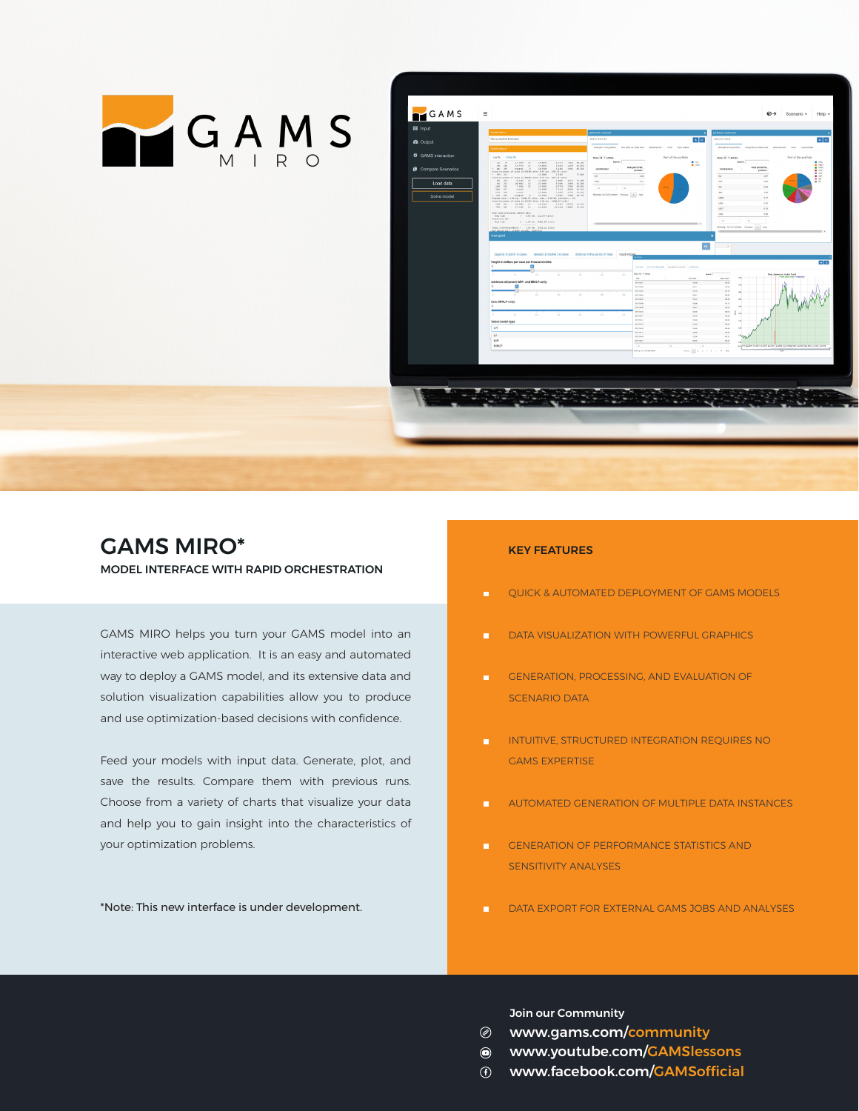



## GAMS MIRO\* MODEL INTERFACE WITH RAPID ORCHESTRATION

GAMS MIRO helps you turn your GAMS model into an interactive web application. It is an easy and automated way to deploy a GAMS model, and its extensive data and solution visualization capabilities allow you to produce and use optimization-based decisions with confidence.

Feed your models with input data. Generate, plot, and save the results. Compare them with previous runs. Choose from a variety of charts that visualize your data and help you to gain insight into the characteristics of your optimization problems.

\*Note: This new interface is under development.

## KEY FEATURES

- QUICK & AUTOMATED DEPLOYMENT OF GAMS MODELS
- DATA VISUALIZATION WITH POWERFUL GRAPHICS
- GENERATION, PROCESSING, AND EVALUATION OF SCENARIO DATA
- INTUITIVE, STRUCTURED INTEGRATION REQUIRES NO GAMS EXPERTISE
- AUTOMATED GENERATION OF MULTIPLE DATA INSTANCES
- GENERATION OF PERFORMANCE STATISTICS AND SENSITIVITY ANALYSES
- DATA EXPORT FOR EXTERNAL GAMS JOBS AND ANALYSES

Join our Community

- [www.gams.com/community](http://www.gams.com/community)
- [www.youtube.com/GAMSlessons](http://www.youtube.com/GAMSlessons )
- [www.facebook.com/](http://www.facebook.com/GAMSofficial)GAMSofficial $\odot$